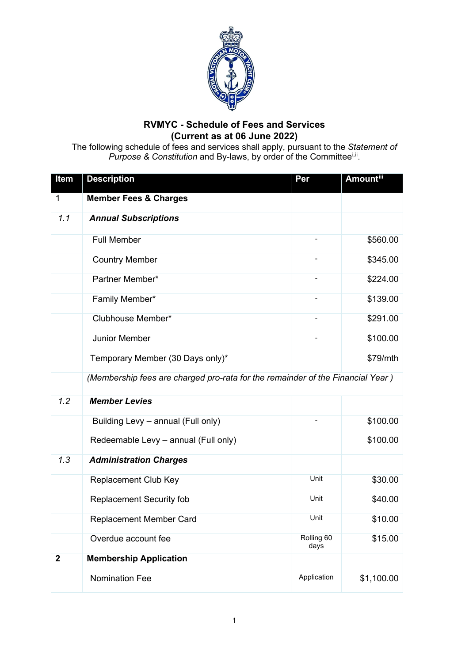

## **RVMYC - Schedule of Fees and Services (Current as at 06 June 2022)**

The following schedule of fees and services shall apply, pursuant to the *Statement of* Purpose & Const[i](#page-3-0)tution and By-laws, by order of the Committee<sup>i,[ii](#page-3-1)</sup>.

| Item           | <b>Description</b>                                                             | Per                      | Amountiii  |
|----------------|--------------------------------------------------------------------------------|--------------------------|------------|
| 1              | <b>Member Fees &amp; Charges</b>                                               |                          |            |
| 1.1            | <b>Annual Subscriptions</b>                                                    |                          |            |
|                | <b>Full Member</b>                                                             |                          | \$560.00   |
|                | <b>Country Member</b>                                                          | $\overline{\phantom{0}}$ | \$345.00   |
|                | Partner Member*                                                                |                          | \$224.00   |
|                | Family Member*                                                                 |                          | \$139.00   |
|                | Clubhouse Member*                                                              |                          | \$291.00   |
|                | Junior Member                                                                  |                          | \$100.00   |
|                | Temporary Member (30 Days only)*                                               |                          | \$79/mth   |
|                | (Membership fees are charged pro-rata for the remainder of the Financial Year) |                          |            |
| 1.2            | <b>Member Levies</b>                                                           |                          |            |
|                | Building Levy - annual (Full only)                                             |                          | \$100.00   |
|                | Redeemable Levy - annual (Full only)                                           |                          | \$100.00   |
| 1.3            | <b>Administration Charges</b>                                                  |                          |            |
|                | <b>Replacement Club Key</b>                                                    | Unit                     | \$30.00    |
|                | <b>Replacement Security fob</b>                                                | Unit                     | \$40.00    |
|                | <b>Replacement Member Card</b>                                                 | Unit                     | \$10.00    |
|                | Overdue account fee                                                            | Rolling 60<br>days       | \$15.00    |
| $\overline{2}$ | <b>Membership Application</b>                                                  |                          |            |
|                | <b>Nomination Fee</b>                                                          | Application              | \$1,100.00 |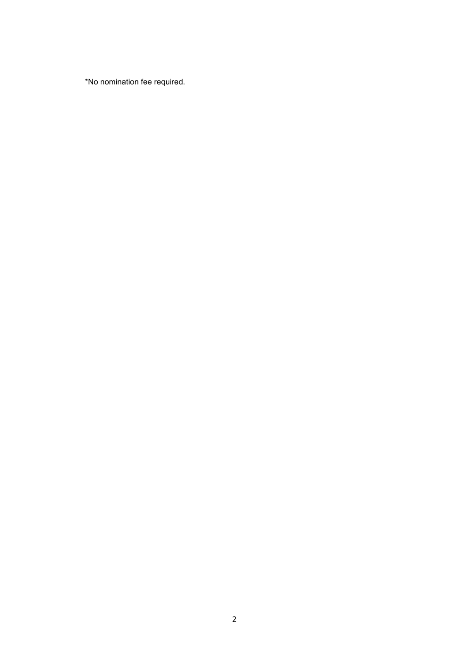\*No nomination fee required.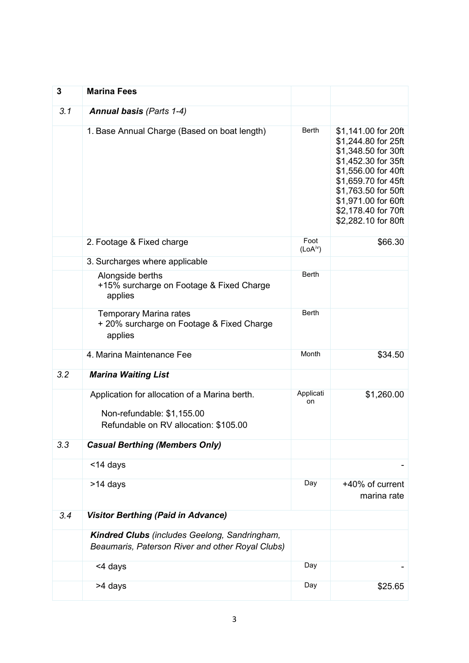| 3   | <b>Marina Fees</b>                                                                                                   |                              |                                                                                                                                                                                                                                    |
|-----|----------------------------------------------------------------------------------------------------------------------|------------------------------|------------------------------------------------------------------------------------------------------------------------------------------------------------------------------------------------------------------------------------|
| 3.1 | <b>Annual basis (Parts 1-4)</b>                                                                                      |                              |                                                                                                                                                                                                                                    |
|     | 1. Base Annual Charge (Based on boat length)                                                                         | <b>Berth</b>                 | \$1,141.00 for 20ft<br>\$1,244.80 for 25ft<br>\$1,348.50 for 30ft<br>\$1,452.30 for 35ft<br>\$1,556.00 for 40ft<br>\$1,659.70 for 45ft<br>\$1,763.50 for 50ft<br>\$1,971.00 for 60ft<br>\$2,178.40 for 70ft<br>\$2,282.10 for 80ft |
|     | 2. Footage & Fixed charge                                                                                            | Foot<br>(LoA <sup>iv</sup> ) | \$66.30                                                                                                                                                                                                                            |
|     | 3. Surcharges where applicable                                                                                       |                              |                                                                                                                                                                                                                                    |
|     | Alongside berths<br>+15% surcharge on Footage & Fixed Charge<br>applies                                              | <b>Berth</b>                 |                                                                                                                                                                                                                                    |
|     | <b>Temporary Marina rates</b><br>+ 20% surcharge on Footage & Fixed Charge<br>applies                                | <b>Berth</b>                 |                                                                                                                                                                                                                                    |
|     | 4. Marina Maintenance Fee                                                                                            | Month                        | \$34.50                                                                                                                                                                                                                            |
| 3.2 | <b>Marina Waiting List</b>                                                                                           |                              |                                                                                                                                                                                                                                    |
|     | Application for allocation of a Marina berth.<br>Non-refundable: \$1,155.00<br>Refundable on RV allocation: \$105.00 | Applicati<br>on              | \$1,260.00                                                                                                                                                                                                                         |
| 3.3 | <b>Casual Berthing (Members Only)</b>                                                                                |                              |                                                                                                                                                                                                                                    |
|     | <14 days                                                                                                             |                              |                                                                                                                                                                                                                                    |
|     | >14 days                                                                                                             | Day                          | +40% of current<br>marina rate                                                                                                                                                                                                     |
| 3.4 | <b>Visitor Berthing (Paid in Advance)</b>                                                                            |                              |                                                                                                                                                                                                                                    |
|     | Kindred Clubs (includes Geelong, Sandringham,<br>Beaumaris, Paterson River and other Royal Clubs)                    |                              |                                                                                                                                                                                                                                    |
|     | <4 days                                                                                                              | Day                          |                                                                                                                                                                                                                                    |
|     | >4 days                                                                                                              | Day                          | \$25.65                                                                                                                                                                                                                            |